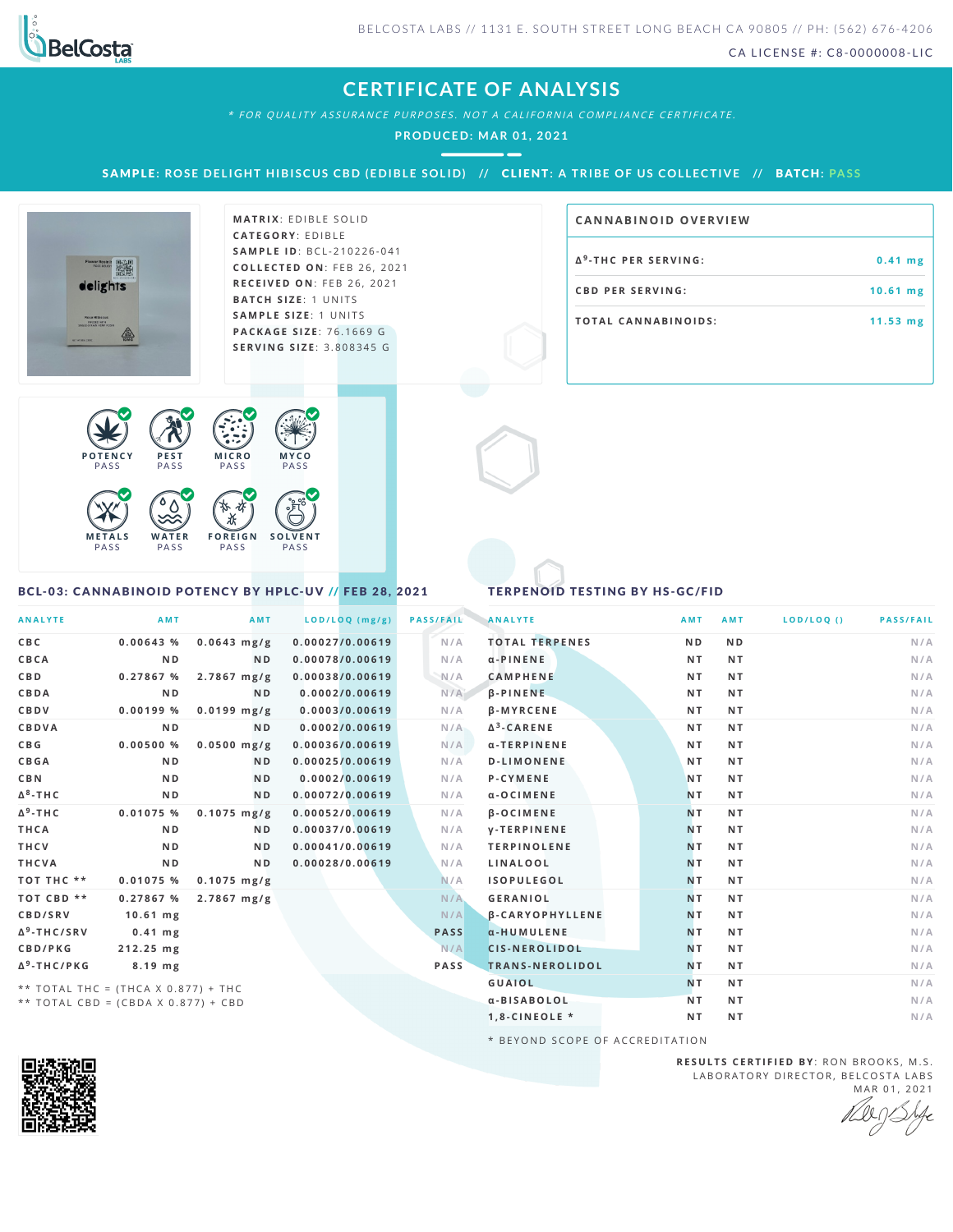

**CA N N ABI N OID OVERVI EW**

CA LICENSE #: C8-0000008-LIC

**a** <sup>9</sup>-THC PER SERVING:  $\qquad 0.41 \text{ mg}$ **CB D P E R S E R V I N G : 1 0 . 6 1 m g T O TAL CA N N ABI N O I D S : 1 1 . 5 3 m g**

### **CERTIFICATE OF ANALYSIS**

\* FOR QUALITY ASSURANCE PURPOSES. NOT A CALIFORNIA COMPLIANCE CERTIFICATE.

**PRODUCED: MA R 01, 2021**

SAMPLE: ROSE DELIGHT HIBISCUS CBD (EDIBLE SOLID) // CLIENT: A TRIBE OF US COLLECTIVE // BATCH: PASS



**M AT R I X** :E D IB L E S O L I D **CAT E G O R Y** : E D IB L E **SA M P L E I D** :B C L - 2 1 0 2 2 6 - 0 4 1 **C O L L E C T E D O N** :F E B 2 6 , 2 0 2 1 **R E C E I V E D O N** : F E B 2 6 , 2 0 2 1 **BATCH SIZE:** 1 UNITS **SA M P L E S I Z E** : 1 U N IT S **PAC KA G E S I Z E** : 7 6 .1 6 6 9 G **S E R V I N G S I Z E** : 3 . 8 0 8 3 4 5 G



<span id="page-0-0"></span>BCL-03: CANNABINOID POTENCY BY HPLC-UV // FEB 28, 2021

### TERPENOID TESTING BY HS-GC/FID

| <b>ANALYTE</b>                      | AMT            | AMT            | $LOD/LOQ$ (mg/g) | <b>PASS/FAIL</b> | <b>ANALYTE</b>         | <b>AMT</b>     | <b>AMT</b>     | LOD/LOQ() | <b>PASS/FAIL</b> |
|-------------------------------------|----------------|----------------|------------------|------------------|------------------------|----------------|----------------|-----------|------------------|
| C B C                               | $0.00643$ %    | $0.0643$ mg/g  | 0.00027/0.00619  | N/A              | <b>TOTAL TERPENES</b>  | N <sub>D</sub> | N <sub>D</sub> |           | N/A              |
| CBCA                                | N <sub>D</sub> | <b>ND</b>      | 0.00078/0.00619  | N/A              | $\alpha$ -PINENE       | NT.            | NT.            |           | N/A              |
| <b>CBD</b>                          | 0.27867 %      | $2.7867$ mg/g  | 0.00038/0.00619  | N/A              | <b>CAMPHENE</b>        | NT.            | NT.            |           | N/A              |
| CBDA                                | N <sub>D</sub> | <b>ND</b>      | 0.0002/0.00619   | N/A              | $\beta$ -PINENE        | NT.            | NT.            |           | N/A              |
| <b>CBDV</b>                         | 0.00199%       | $0.0199$ mg/g  | 0.0003/0.00619   | N/A              | <b>B-MYRCENE</b>       | NT.            | NT.            |           | N/A              |
| CBDVA                               | N <sub>D</sub> | <b>ND</b>      | 0.0002/0.00619   | N/A              | $\Delta^3$ -CARENE     | NT.            | NT.            |           | N/A              |
| C B G                               | 0.00500%       | $0.0500$ mg/g  | 0.00036/0.00619  | N/A              | α-TERPINENE            | NT.            | NT.            |           | N/A              |
| CBGA                                | N <sub>D</sub> | <b>ND</b>      | 0.00025/0.00619  | N/A              | <b>D-LIMONENE</b>      | NT.            | NT.            |           | N/A              |
| <b>CBN</b>                          | N <sub>D</sub> | N <sub>D</sub> | 0.0002/0.00619   | N/A              | <b>P-CYMENE</b>        | <b>NT</b>      | N T            |           | N/A              |
| $\Delta^8$ -THC                     | N <sub>D</sub> | <b>ND</b>      | 0.00072/0.00619  | N/A              | a-OCIMENE              | <b>NT</b>      | NT.            |           | N/A              |
| $\Delta^9$ -THC                     | $0.01075$ %    | $0.1075$ mg/g  | 0.00052/0.00619  | N/A              | <b>B-OCIMENE</b>       | NT.            | NT.            |           | N/A              |
| THCA                                | N <sub>D</sub> | N <sub>D</sub> | 0.00037/0.00619  | N/A              | <b>V-TERPINENE</b>     | <b>NT</b>      | NT.            |           | N/A              |
| THCV                                | N <sub>D</sub> | <b>ND</b>      | 0.00041/0.00619  | N/A              | <b>TERPINOLENE</b>     | N <sub>T</sub> | NT.            |           | N/A              |
| THCVA                               | N D            | N <sub>D</sub> | 0.00028/0.00619  | N/A              | LINALOOL               | N <sub>T</sub> | NT.            |           | N/A              |
| TOT THC **                          | $0.01075$ %    | $0.1075$ mg/g  |                  | N/A              | <b>ISOPULEGOL</b>      | N <sub>T</sub> | NT.            |           | N/A              |
| TOT CBD **                          | 0.27867%       | $2.7867$ mg/g  |                  | N/A              | <b>GERANIOL</b>        | N <sub>T</sub> | NT.            |           | N/A              |
| CBD/SRV                             | $10.61$ mg     |                |                  | N/A              | <b>B-CARYOPHYLLENE</b> | N <sub>T</sub> | NT.            |           | N/A              |
| $\Delta^9$ -THC/SRV                 | $0.41$ mg      |                |                  | <b>PASS</b>      | α-HUMULENE             | N <sub>T</sub> | NT.            |           | N/A              |
| CBD/PKG                             | 212.25 mg      |                |                  | N/A              | <b>CIS-NEROLIDOL</b>   | N <sub>T</sub> | NT.            |           | N/A              |
| $\Delta^9$ -THC/PKG                 | 8.19 mg        |                |                  | <b>PASS</b>      | TRANS-NEROLIDOL        | N <sub>T</sub> | NT.            |           | N/A              |
| ** TOTAL THC = (THCA X 0.877) + THC |                |                |                  |                  | <b>GUAIOL</b>          | N <sub>T</sub> | NT.            |           | N/A              |
| ** TOTAL CBD = (CBDA X 0.877) + CBD |                |                |                  |                  | α-BISABOLOL            | NT.            | NT.            |           | N/A              |
|                                     |                |                |                  |                  | $1, 8$ -CINEOLE *      | NT.            | N <sub>T</sub> |           | N/A              |

\* BEYOND SCOPE OF ACCREDITATION



**R E S U L T S C E R T I F I E D BY** : R O N B R O O K S , M . S . LABORATORY DIRECTOR, BELCOSTA LABS MAR 01, 2021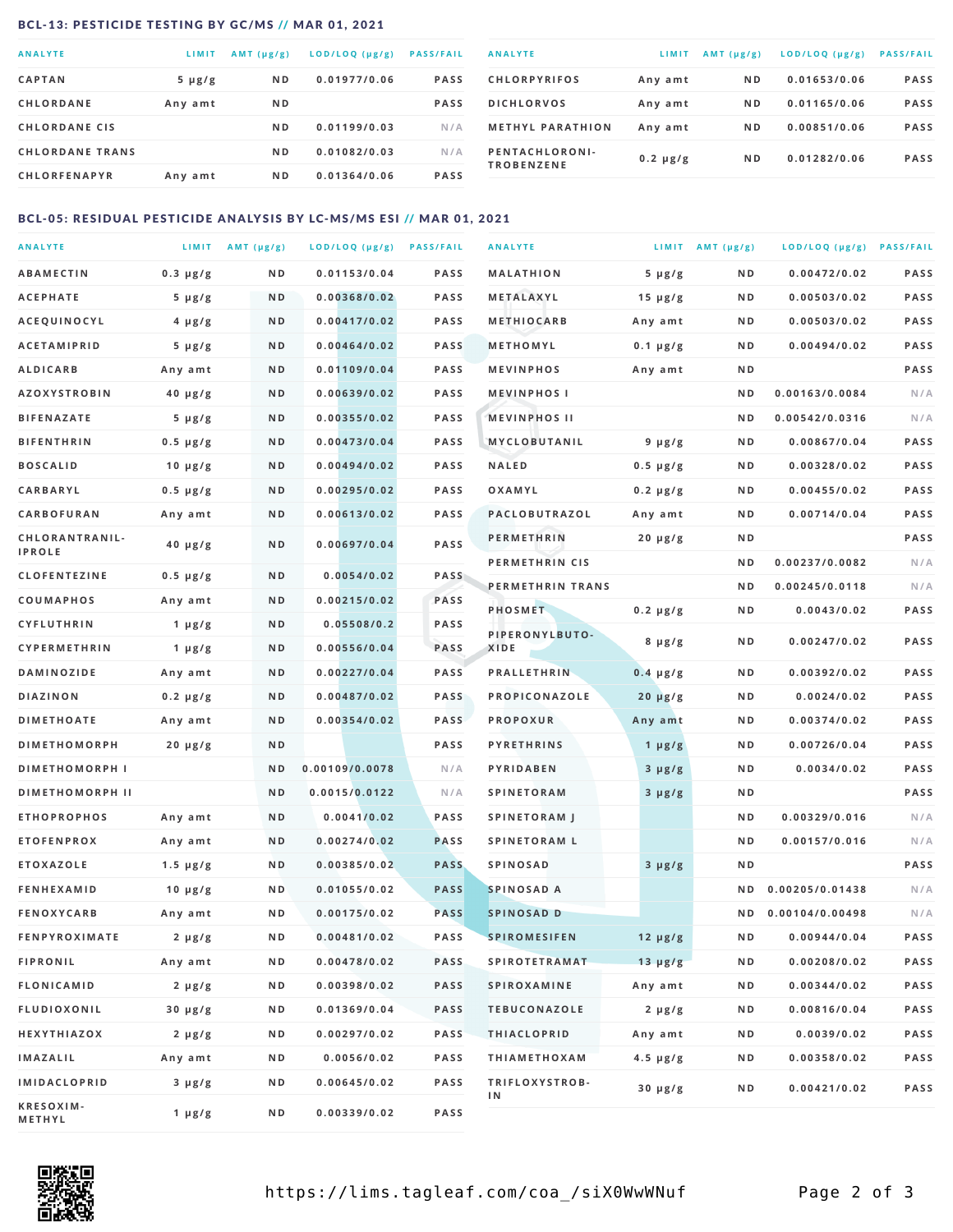### <span id="page-1-0"></span>BCL-13: PESTICIDE TESTING BY GC/MS // MAR 01, 2021

| <b>ANALYTE</b>         | LIMIT       | AMT $(\mu g/g)$ | LOD/LOQ (µg/g) | <b>PASS/FAIL</b> |
|------------------------|-------------|-----------------|----------------|------------------|
| <b>CAPTAN</b>          | $5 \mu g/g$ | N <sub>D</sub>  | 0.01977/0.06   | <b>PASS</b>      |
| <b>CHLORDANE</b>       | Any amt     | N <sub>D</sub>  |                | <b>PASS</b>      |
| <b>CHLORDANE CIS</b>   |             | N <sub>D</sub>  | 0.01199/0.03   | N/A              |
| <b>CHLORDANE TRANS</b> |             | N <sub>D</sub>  | 0.01082/0.03   | N/A              |
| <b>CHLORFENAPYR</b>    | Any amt     | N <sub>D</sub>  | 0.01364/0.06   | <b>PASS</b>      |

| <b>ANALYTE</b>                      | LIMIT         | $AMT(\mu g/g)$ | LOD/LOQ (µg/g) | <b>PASS/FAIL</b> |
|-------------------------------------|---------------|----------------|----------------|------------------|
| <b>CHLORPYRIFOS</b>                 | Any amt       | N <sub>D</sub> | 0.01653/0.06   | <b>PASS</b>      |
| <b>DICHLORVOS</b>                   | Any amt       | N <sub>D</sub> | 0.01165/0.06   | <b>PASS</b>      |
| <b>METHYL PARATHION</b>             | Any amt       | N <sub>D</sub> | 0.00851/0.06   | <b>PASS</b>      |
| PENTACHLORONI-<br><b>TROBENZENE</b> | $0.2 \mu g/g$ | N <sub>D</sub> | 0.01282/0.06   | <b>PASS</b>      |

### BCL-05: RESIDUAL PESTICIDE ANALYSIS BY LC-MS/MS ESI // MAR 01, 2021

| <b>ANALYTE</b>                  |                        | LIMIT $AMT(\mu g/g)$ | LOD/LOQ (µg/g) PASS/FAIL |             | <b>ANALYTE</b>         |                            | LIMIT AMT $(\mu g/g)$ | LOD/LOQ (µg/g) PASS/FAIL |             |
|---------------------------------|------------------------|----------------------|--------------------------|-------------|------------------------|----------------------------|-----------------------|--------------------------|-------------|
| <b>ABAMECTIN</b>                | $0.3 \mu g/g$          | N D                  | 0.01153/0.04             | <b>PASS</b> | <b>MALATHION</b>       | $5 \mu g/g$                | N D                   | 0.00472/0.02             | PASS        |
| <b>ACEPHATE</b>                 | $5 \mu g/g$            | ND                   | 0.00368/0.02             | <b>PASS</b> | METALAXYL              | $15 \mu g/g$               | ND                    | 0.00503/0.02             | <b>PASS</b> |
| <b>ACEQUINOCYL</b>              | $4 \mu g/g$            | ND                   | 0.00417/0.02             | <b>PASS</b> | <b>METHIOCARB</b>      | Any amt                    | ND                    | 0.00503/0.02             | <b>PASS</b> |
| <b>ACETAMIPRID</b>              | $5 \mu g/g$            | N <sub>D</sub>       | 0.00464/0.02             | <b>PASS</b> | METHOMYL               | $0.1 \mu g/g$              | N <sub>D</sub>        | 0.00494/0.02             | PASS        |
| <b>ALDICARB</b>                 | Any amt                | ND                   | 0.01109/0.04             | <b>PASS</b> | <b>MEVINPHOS</b>       | Any amt                    | N <sub>D</sub>        |                          | PASS        |
| <b>AZOXYSTROBIN</b>             | $40 \mu g/g$           | ND                   | 0.00639/0.02             | <b>PASS</b> | <b>MEVINPHOSI</b>      |                            | N <sub>D</sub>        | 0.00163/0.0084           | N/A         |
| <b>BIFENAZATE</b>               | $5 \mu g/g$            | N D                  | 0.00355/0.02             | <b>PASS</b> | <b>MEVINPHOS II</b>    |                            | ND                    | 0.00542/0.0316           | N/A         |
| <b>BIFENTHRIN</b>               | $0.5 \mu g/g$          | N D                  | 0.00473/0.04             | <b>PASS</b> | <b>MYCLOBUTANIL</b>    | $9 \mu g/g$                | ND                    | 0.00867/0.04             | <b>PASS</b> |
| <b>BOSCALID</b>                 | $10 \mu g/g$           | ND                   | 0.00494/0.02             | <b>PASS</b> | <b>NALED</b>           | $0.5 \mu g/g$              | ND                    | 0.00328/0.02             | <b>PASS</b> |
| CARBARYL                        | $0.5 \mu g/g$          | N D                  | 0.00295/0.02             | <b>PASS</b> | OXAMYL                 | $0.2 \mu g/g$              | ND.                   | 0.00455/0.02             | <b>PASS</b> |
| CARBOFURAN                      | Any amt                | N D                  | 0.00613/0.02             | <b>PASS</b> | PACLOBUTRAZOL          | Any amt                    | N <sub>D</sub>        | 0.00714/0.04             | <b>PASS</b> |
| CHLORANTRANIL-<br><b>IPROLE</b> | $40 \mu g/g$           | ND                   | 0.00697/0.04             | <b>PASS</b> | <b>PERMETHRIN</b>      | $20 \mu g/g$               | N D                   |                          | <b>PASS</b> |
| <b>CLOFENTEZINE</b>             | $0.5 \mu g/g$          | ND                   | 0.0054/0.02              | PASS        | PERMETHRIN CIS         |                            | N D                   | 0.00237/0.0082           | N/A         |
| <b>COUMAPHOS</b>                | Any amt                | N D                  | 0.00215/0.02             | <b>PASS</b> | PERMETHRIN TRANS       |                            | ND                    | 0.00245/0.0118           | N/A         |
| CYFLUTHRIN                      | 1 $\mu$ g/g            | ND                   | 0.05508/0.2              | <b>PASS</b> | PHOSMET                | $0.2 \mu g/g$              | ND                    | 0.0043/0.02              | <b>PASS</b> |
| <b>CYPERMETHRIN</b>             |                        | N <sub>D</sub>       | 0.00556/0.04             | PASS        | PIPERONYLBUTO-<br>XIDE | $8 \mu g/g$                | ND.                   | 0.00247/0.02             | PASS        |
| <b>DAMINOZIDE</b>               | 1 $\mu$ g/g<br>Any amt | N D                  | 0.00227/0.04             | <b>PASS</b> | <b>PRALLETHRIN</b>     | $0.4 \mu g/g$              | N <sub>D</sub>        | 0.00392/0.02             | <b>PASS</b> |
| <b>DIAZINON</b>                 | $0.2 \mu g/g$          | ND                   | 0.00487/0.02             | <b>PASS</b> | PROPICONAZOLE          | $20 \mu g/g$               | ND                    | 0.0024/0.02              | PASS        |
| <b>DIMETHOATE</b>               | Any amt                | N D                  | 0.00354/0.02             | <b>PASS</b> | <b>PROPOXUR</b>        | Any amt                    | N <sub>D</sub>        | 0.00374/0.02             | <b>PASS</b> |
| <b>DIMETHOMORPH</b>             |                        | ND                   |                          | <b>PASS</b> | <b>PYRETHRINS</b>      |                            | N D                   | 0.00726/0.04             | <b>PASS</b> |
| <b>DIMETHOMORPH I</b>           | $20 \mu g/g$           | N D                  | 0.00109/0.0078           | N/A         | PYRIDABEN              | 1 $\mu$ g/g<br>$3 \mu g/g$ | ND                    | 0.0034/0.02              | <b>PASS</b> |
| <b>DIMETHOMORPH II</b>          |                        | N <sub>D</sub>       | 0.0015/0.0122            | N/A         | <b>SPINETORAM</b>      |                            | ND                    |                          | PASS        |
| <b>ETHOPROPHOS</b>              | Any amt                | ND                   | 0.0041/0.02              | <b>PASS</b> | <b>SPINETORAM J</b>    | $3 \mu g/g$                | N <sub>D</sub>        | 0.00329/0.016            | N/A         |
| <b>ETOFENPROX</b>               | Any amt                | ND                   | 0.00274/0.02             | <b>PASS</b> | <b>SPINETORAM L</b>    |                            | N <sub>D</sub>        | 0.00157/0.016            | N/A         |
| <b>ETOXAZOLE</b>                | $1.5 \mu g/g$          | N D                  | 0.00385/0.02             | <b>PASS</b> | <b>SPINOSAD</b>        | $3 \mu g/g$                | N D                   |                          | PASS        |
| <b>FENHEXAMID</b>               | $10 \mu g/g$           | ND.                  | 0.01055/0.02             | <b>PASS</b> | SPINOSAD A             |                            | ND                    | 0.00205/0.01438          | N/A         |
| <b>FENOXYCARB</b>               | Any amt                | N D                  | 0.00175/0.02             | <b>PASS</b> | SPINOSAD D             |                            | N D                   | 0.00104/0.00498          | N/A         |
| <b>FENPYROXIMATE</b>            | $2 \mu g/g$            | N D                  | 0.00481/0.02             | <b>PASS</b> | <b>SPIROMESIFEN</b>    | $12 \mu g/g$               | N D                   | 0.00944/0.04             | PASS        |
| <b>FIPRONIL</b>                 | Any amt                | N D                  | 0.00478/0.02             | <b>PASS</b> | <b>SPIROTETRAMAT</b>   | $13 \mu g/g$               | ND                    | 0.00208/0.02             | PASS        |
| <b>FLONICAMID</b>               | $2 \mu g/g$            | N D                  | 0.00398/0.02             | <b>PASS</b> | SPIROXAMINE            | Any amt                    | N D                   | 0.00344/0.02             | PASS        |
| <b>FLUDIOXONIL</b>              | $30 \mu g/g$           | N D                  | 0.01369/0.04             | <b>PASS</b> | <b>TEBUCONAZOLE</b>    | $2 \mu g/g$                | N D                   | 0.00816/0.04             | PASS        |
| <b>HEXYTHIAZOX</b>              | $2 \mu g/g$            | N D                  | 0.00297/0.02             | <b>PASS</b> | <b>THIACLOPRID</b>     | Any amt                    | N D                   | 0.0039/0.02              | PASS        |
| <b>IMAZALIL</b>                 | Any amt                | ND                   | 0.0056/0.02              | PASS        | <b>THIAMETHOXAM</b>    | $4.5 \mu g/g$              | N D                   | 0.00358/0.02             | PASS        |
| <b>IMIDACLOPRID</b>             | $3 \mu g/g$            | N D                  | 0.00645/0.02             | <b>PASS</b> | TRIFLOXYSTROB-         |                            |                       |                          |             |
| KRESOXIM-<br>METHYL             | $1 \mu g/g$            | N D                  | 0.00339/0.02             | PASS        | ΙN                     | $30 \mu g/g$               | N D                   | 0.00421/0.02             | PASS        |